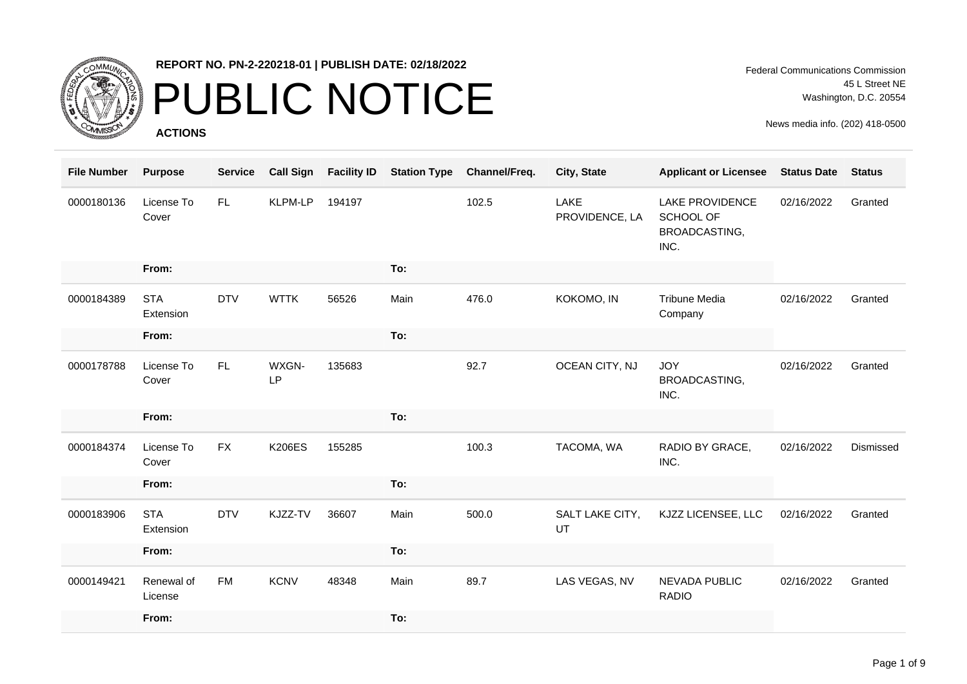

### PUBLIC NOTICE

**ACTIONS**

Federal Communications Commission 45 L Street NE Washington, D.C. 20554

| <b>File Number</b> | <b>Purpose</b>          | <b>Service</b> | <b>Call Sign</b>   | <b>Facility ID</b> | <b>Station Type</b> | Channel/Freq. | City, State            | <b>Applicant or Licensee</b>                                 | <b>Status Date</b> | <b>Status</b> |
|--------------------|-------------------------|----------------|--------------------|--------------------|---------------------|---------------|------------------------|--------------------------------------------------------------|--------------------|---------------|
| 0000180136         | License To<br>Cover     | FL.            | <b>KLPM-LP</b>     | 194197             |                     | 102.5         | LAKE<br>PROVIDENCE, LA | <b>LAKE PROVIDENCE</b><br>SCHOOL OF<br>BROADCASTING,<br>INC. | 02/16/2022         | Granted       |
|                    | From:                   |                |                    |                    | To:                 |               |                        |                                                              |                    |               |
| 0000184389         | <b>STA</b><br>Extension | <b>DTV</b>     | <b>WTTK</b>        | 56526              | Main                | 476.0         | KOKOMO, IN             | <b>Tribune Media</b><br>Company                              | 02/16/2022         | Granted       |
|                    | From:                   |                |                    |                    | To:                 |               |                        |                                                              |                    |               |
| 0000178788         | License To<br>Cover     | FL.            | WXGN-<br><b>LP</b> | 135683             |                     | 92.7          | OCEAN CITY, NJ         | <b>JOY</b><br>BROADCASTING,<br>INC.                          | 02/16/2022         | Granted       |
|                    | From:                   |                |                    |                    | To:                 |               |                        |                                                              |                    |               |
| 0000184374         | License To<br>Cover     | <b>FX</b>      | <b>K206ES</b>      | 155285             |                     | 100.3         | TACOMA, WA             | RADIO BY GRACE,<br>INC.                                      | 02/16/2022         | Dismissed     |
|                    | From:                   |                |                    |                    | To:                 |               |                        |                                                              |                    |               |
| 0000183906         | <b>STA</b><br>Extension | <b>DTV</b>     | KJZZ-TV            | 36607              | Main                | 500.0         | SALT LAKE CITY,<br>UT  | KJZZ LICENSEE, LLC                                           | 02/16/2022         | Granted       |
|                    | From:                   |                |                    |                    | To:                 |               |                        |                                                              |                    |               |
| 0000149421         | Renewal of<br>License   | <b>FM</b>      | <b>KCNV</b>        | 48348              | Main                | 89.7          | LAS VEGAS, NV          | <b>NEVADA PUBLIC</b><br><b>RADIO</b>                         | 02/16/2022         | Granted       |
|                    | From:                   |                |                    |                    | To:                 |               |                        |                                                              |                    |               |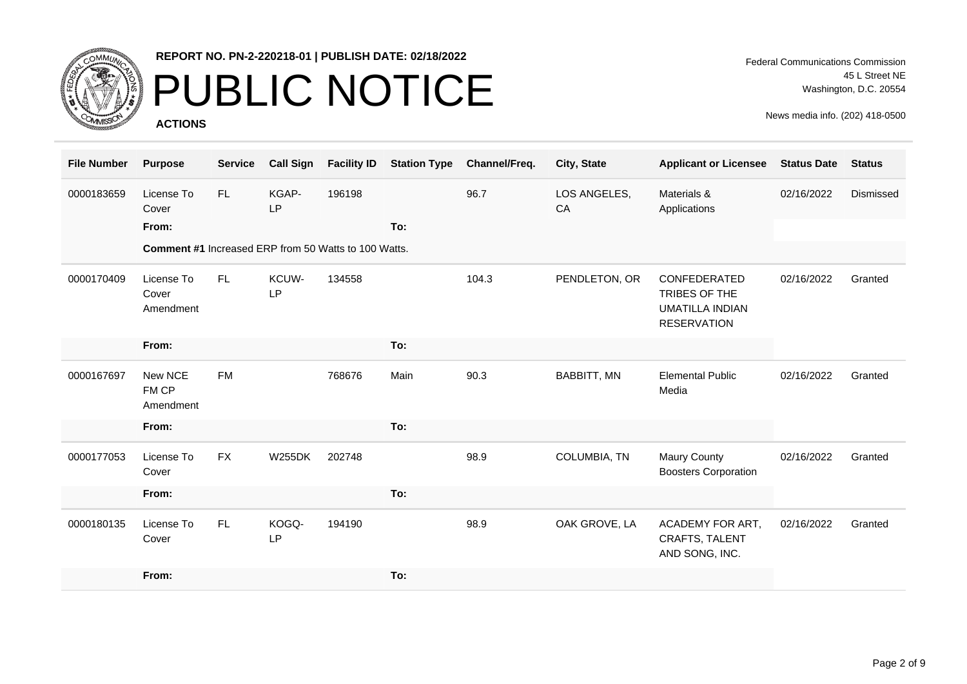

# PUBLIC NOTICE

**ACTIONS**

Federal Communications Commission 45 L Street NE Washington, D.C. 20554

| <b>File Number</b> | <b>Purpose</b>                                              | <b>Service</b> | <b>Call Sign</b>   | <b>Facility ID</b> | <b>Station Type</b> | Channel/Freq. | City, State        | <b>Applicant or Licensee</b>                                                  | <b>Status Date</b> | <b>Status</b> |
|--------------------|-------------------------------------------------------------|----------------|--------------------|--------------------|---------------------|---------------|--------------------|-------------------------------------------------------------------------------|--------------------|---------------|
| 0000183659         | License To<br>Cover                                         | FL.            | KGAP-<br><b>LP</b> | 196198             |                     | 96.7          | LOS ANGELES,<br>CA | Materials &<br>Applications                                                   | 02/16/2022         | Dismissed     |
|                    | From:                                                       |                |                    |                    | To:                 |               |                    |                                                                               |                    |               |
|                    | <b>Comment #1 Increased ERP from 50 Watts to 100 Watts.</b> |                |                    |                    |                     |               |                    |                                                                               |                    |               |
| 0000170409         | License To<br>Cover<br>Amendment                            | FL.            | KCUW-<br><b>LP</b> | 134558             |                     | 104.3         | PENDLETON, OR      | CONFEDERATED<br>TRIBES OF THE<br><b>UMATILLA INDIAN</b><br><b>RESERVATION</b> | 02/16/2022         | Granted       |
|                    | From:                                                       |                |                    |                    | To:                 |               |                    |                                                                               |                    |               |
| 0000167697         | New NCE<br>FM CP<br>Amendment                               | <b>FM</b>      |                    | 768676             | Main                | 90.3          | <b>BABBITT, MN</b> | <b>Elemental Public</b><br>Media                                              | 02/16/2022         | Granted       |
|                    | From:                                                       |                |                    |                    | To:                 |               |                    |                                                                               |                    |               |
| 0000177053         | License To<br>Cover                                         | <b>FX</b>      | <b>W255DK</b>      | 202748             |                     | 98.9          | COLUMBIA, TN       | <b>Maury County</b><br><b>Boosters Corporation</b>                            | 02/16/2022         | Granted       |
|                    | From:                                                       |                |                    |                    | To:                 |               |                    |                                                                               |                    |               |
| 0000180135         | License To<br>Cover                                         | FL.            | KOGQ-<br><b>LP</b> | 194190             |                     | 98.9          | OAK GROVE, LA      | ACADEMY FOR ART,<br><b>CRAFTS, TALENT</b><br>AND SONG, INC.                   | 02/16/2022         | Granted       |
|                    | From:                                                       |                |                    |                    | To:                 |               |                    |                                                                               |                    |               |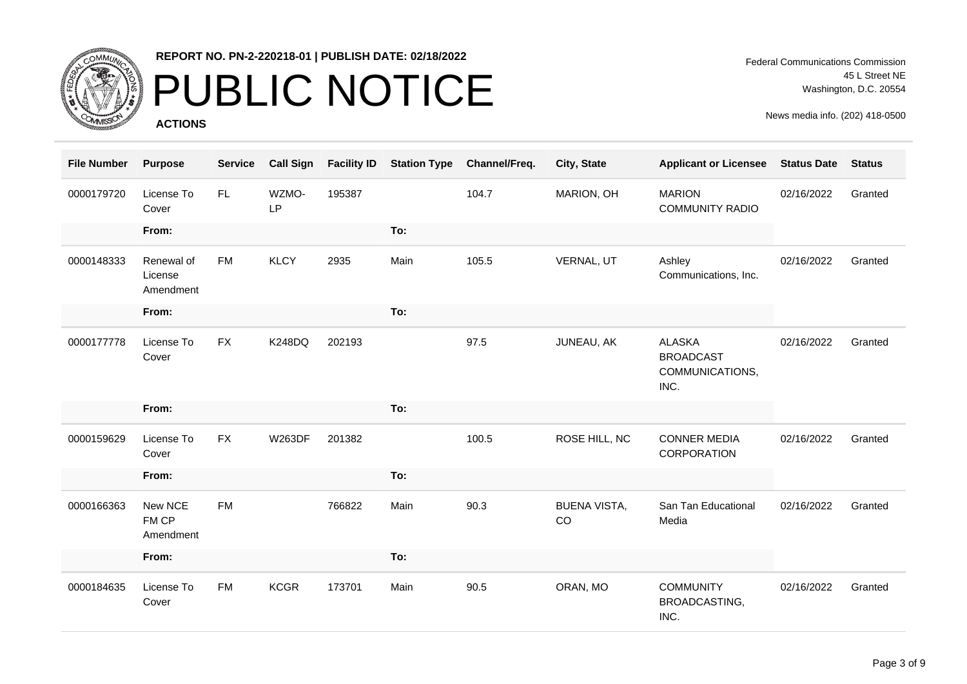

# PUBLIC NOTICE

**ACTIONS**

| <b>File Number</b> | <b>Purpose</b>                     | <b>Service</b> | <b>Call Sign</b>   | <b>Facility ID</b> | <b>Station Type</b> | Channel/Freq. | City, State               | <b>Applicant or Licensee</b>                                 | <b>Status Date</b> | <b>Status</b> |
|--------------------|------------------------------------|----------------|--------------------|--------------------|---------------------|---------------|---------------------------|--------------------------------------------------------------|--------------------|---------------|
| 0000179720         | License To<br>Cover                | FL.            | WZMO-<br><b>LP</b> | 195387             |                     | 104.7         | MARION, OH                | <b>MARION</b><br><b>COMMUNITY RADIO</b>                      | 02/16/2022         | Granted       |
|                    | From:                              |                |                    |                    | To:                 |               |                           |                                                              |                    |               |
| 0000148333         | Renewal of<br>License<br>Amendment | <b>FM</b>      | <b>KLCY</b>        | 2935               | Main                | 105.5         | VERNAL, UT                | Ashley<br>Communications, Inc.                               | 02/16/2022         | Granted       |
|                    | From:                              |                |                    |                    | To:                 |               |                           |                                                              |                    |               |
| 0000177778         | License To<br>Cover                | <b>FX</b>      | <b>K248DQ</b>      | 202193             |                     | 97.5          | JUNEAU, AK                | <b>ALASKA</b><br><b>BROADCAST</b><br>COMMUNICATIONS,<br>INC. | 02/16/2022         | Granted       |
|                    | From:                              |                |                    |                    | To:                 |               |                           |                                                              |                    |               |
| 0000159629         | License To<br>Cover                | <b>FX</b>      | <b>W263DF</b>      | 201382             |                     | 100.5         | ROSE HILL, NC             | <b>CONNER MEDIA</b><br>CORPORATION                           | 02/16/2022         | Granted       |
|                    | From:                              |                |                    |                    | To:                 |               |                           |                                                              |                    |               |
| 0000166363         | New NCE<br>FM CP<br>Amendment      | <b>FM</b>      |                    | 766822             | Main                | 90.3          | <b>BUENA VISTA,</b><br>CO | San Tan Educational<br>Media                                 | 02/16/2022         | Granted       |
|                    | From:                              |                |                    |                    | To:                 |               |                           |                                                              |                    |               |
| 0000184635         | License To<br>Cover                | <b>FM</b>      | <b>KCGR</b>        | 173701             | Main                | 90.5          | ORAN, MO                  | <b>COMMUNITY</b><br>BROADCASTING,<br>INC.                    | 02/16/2022         | Granted       |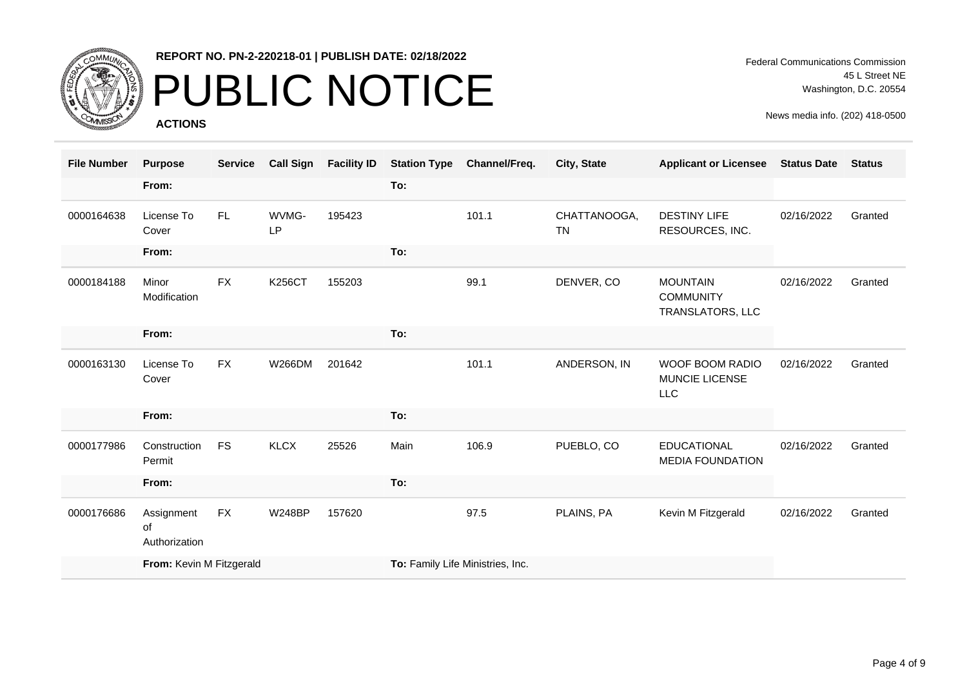

# PUBLIC NOTICE

**ACTIONS**

Federal Communications Commission 45 L Street NE Washington, D.C. 20554

| <b>File Number</b> | <b>Purpose</b>                    | <b>Service</b> | <b>Call Sign</b> | <b>Facility ID</b> | <b>Station Type</b>              | Channel/Freq. | City, State               | <b>Applicant or Licensee</b>                            | <b>Status Date</b> | <b>Status</b> |
|--------------------|-----------------------------------|----------------|------------------|--------------------|----------------------------------|---------------|---------------------------|---------------------------------------------------------|--------------------|---------------|
|                    | From:                             |                |                  |                    | To:                              |               |                           |                                                         |                    |               |
| 0000164638         | License To<br>Cover               | FL.            | WVMG-<br>LP      | 195423             |                                  | 101.1         | CHATTANOOGA,<br><b>TN</b> | <b>DESTINY LIFE</b><br>RESOURCES, INC.                  | 02/16/2022         | Granted       |
|                    | From:                             |                |                  |                    | To:                              |               |                           |                                                         |                    |               |
| 0000184188         | Minor<br>Modification             | <b>FX</b>      | <b>K256CT</b>    | 155203             |                                  | 99.1          | DENVER, CO                | <b>MOUNTAIN</b><br><b>COMMUNITY</b><br>TRANSLATORS, LLC | 02/16/2022         | Granted       |
|                    | From:                             |                |                  |                    | To:                              |               |                           |                                                         |                    |               |
| 0000163130         | License To<br>Cover               | <b>FX</b>      | W266DM           | 201642             |                                  | 101.1         | ANDERSON, IN              | WOOF BOOM RADIO<br>MUNCIE LICENSE<br><b>LLC</b>         | 02/16/2022         | Granted       |
|                    | From:                             |                |                  |                    | To:                              |               |                           |                                                         |                    |               |
| 0000177986         | Construction<br>Permit            | <b>FS</b>      | <b>KLCX</b>      | 25526              | Main                             | 106.9         | PUEBLO, CO                | <b>EDUCATIONAL</b><br><b>MEDIA FOUNDATION</b>           | 02/16/2022         | Granted       |
|                    | From:                             |                |                  |                    | To:                              |               |                           |                                                         |                    |               |
| 0000176686         | Assignment<br>οf<br>Authorization | FX             | <b>W248BP</b>    | 157620             |                                  | 97.5          | PLAINS, PA                | Kevin M Fitzgerald                                      | 02/16/2022         | Granted       |
|                    | From: Kevin M Fitzgerald          |                |                  |                    | To: Family Life Ministries, Inc. |               |                           |                                                         |                    |               |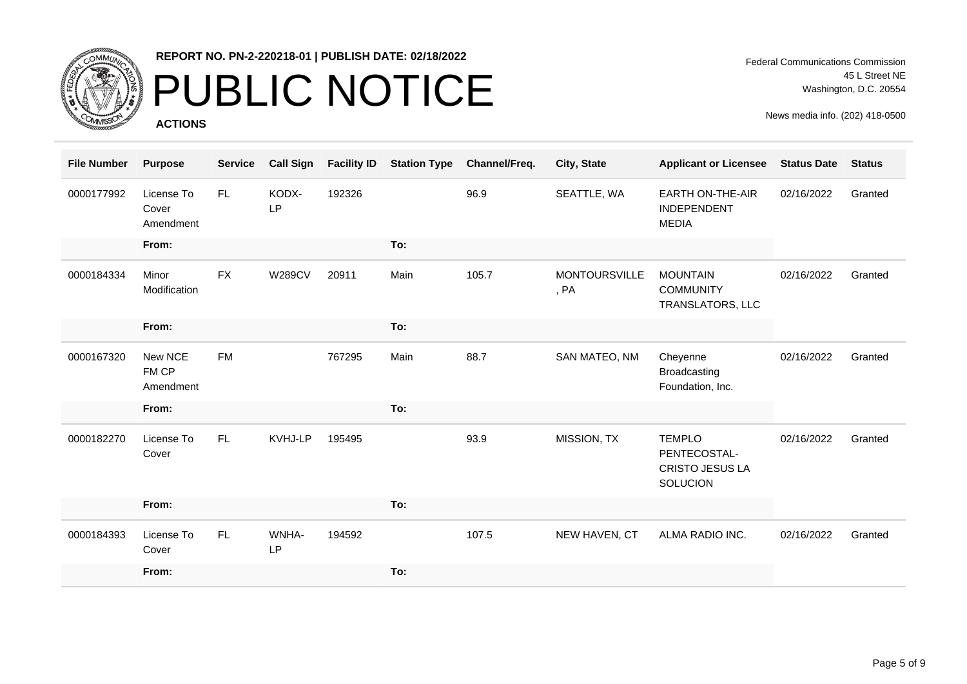

# PUBLIC NOTICE

**ACTIONS**

| <b>File Number</b> | <b>Purpose</b>                   | <b>Service</b> | <b>Call Sign</b>   | <b>Facility ID</b> | <b>Station Type</b> | Channel/Freq. | City, State                  | <b>Applicant or Licensee</b>                                        | <b>Status Date</b> | <b>Status</b> |
|--------------------|----------------------------------|----------------|--------------------|--------------------|---------------------|---------------|------------------------------|---------------------------------------------------------------------|--------------------|---------------|
| 0000177992         | License To<br>Cover<br>Amendment | FL.            | KODX-<br><b>LP</b> | 192326             |                     | 96.9          | SEATTLE, WA                  | <b>EARTH ON-THE-AIR</b><br>INDEPENDENT<br><b>MEDIA</b>              | 02/16/2022         | Granted       |
|                    | From:                            |                |                    |                    | To:                 |               |                              |                                                                     |                    |               |
| 0000184334         | Minor<br>Modification            | <b>FX</b>      | <b>W289CV</b>      | 20911              | Main                | 105.7         | <b>MONTOURSVILLE</b><br>, PA | <b>MOUNTAIN</b><br><b>COMMUNITY</b><br>TRANSLATORS, LLC             | 02/16/2022         | Granted       |
|                    | From:                            |                |                    |                    | To:                 |               |                              |                                                                     |                    |               |
| 0000167320         | New NCE<br>FM CP<br>Amendment    | <b>FM</b>      |                    | 767295             | Main                | 88.7          | SAN MATEO, NM                | Cheyenne<br><b>Broadcasting</b><br>Foundation, Inc.                 | 02/16/2022         | Granted       |
|                    | From:                            |                |                    |                    | To:                 |               |                              |                                                                     |                    |               |
| 0000182270         | License To<br>Cover              | FL.            | KVHJ-LP            | 195495             |                     | 93.9          | MISSION, TX                  | <b>TEMPLO</b><br>PENTECOSTAL-<br><b>CRISTO JESUS LA</b><br>SOLUCION | 02/16/2022         | Granted       |
|                    | From:                            |                |                    |                    | To:                 |               |                              |                                                                     |                    |               |
| 0000184393         | License To<br>Cover              | FL             | WNHA-<br><b>LP</b> | 194592             |                     | 107.5         | NEW HAVEN, CT                | ALMA RADIO INC.                                                     | 02/16/2022         | Granted       |
|                    | From:                            |                |                    |                    | To:                 |               |                              |                                                                     |                    |               |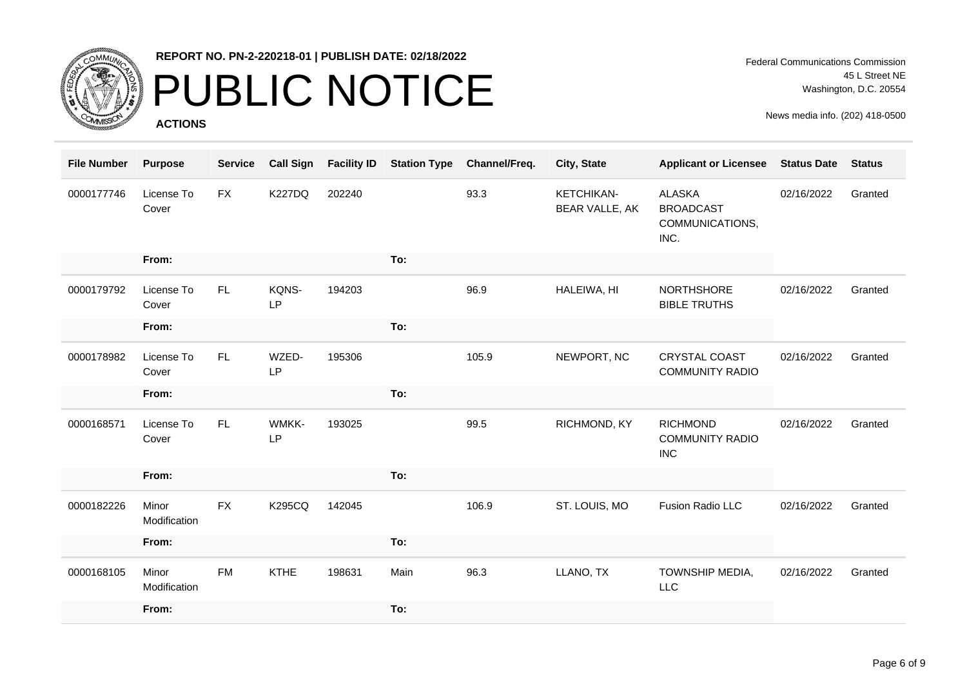

# PUBLIC NOTICE

**ACTIONS**

Federal Communications Commission 45 L Street NE Washington, D.C. 20554

| <b>File Number</b> | <b>Purpose</b>        | <b>Service</b> | <b>Call Sign</b>   | <b>Facility ID</b> | <b>Station Type</b> | Channel/Freq. | City, State                         | <b>Applicant or Licensee</b>                                 | <b>Status Date</b> | <b>Status</b> |
|--------------------|-----------------------|----------------|--------------------|--------------------|---------------------|---------------|-------------------------------------|--------------------------------------------------------------|--------------------|---------------|
| 0000177746         | License To<br>Cover   | <b>FX</b>      | <b>K227DQ</b>      | 202240             |                     | 93.3          | <b>KETCHIKAN-</b><br>BEAR VALLE, AK | <b>ALASKA</b><br><b>BROADCAST</b><br>COMMUNICATIONS,<br>INC. | 02/16/2022         | Granted       |
|                    | From:                 |                |                    |                    | To:                 |               |                                     |                                                              |                    |               |
| 0000179792         | License To<br>Cover   | FL.            | KQNS-<br>LP        | 194203             |                     | 96.9          | HALEIWA, HI                         | NORTHSHORE<br><b>BIBLE TRUTHS</b>                            | 02/16/2022         | Granted       |
|                    | From:                 |                |                    |                    | To:                 |               |                                     |                                                              |                    |               |
| 0000178982         | License To<br>Cover   | FL.            | WZED-<br><b>LP</b> | 195306             |                     | 105.9         | NEWPORT, NC                         | <b>CRYSTAL COAST</b><br><b>COMMUNITY RADIO</b>               | 02/16/2022         | Granted       |
|                    | From:                 |                |                    |                    | To:                 |               |                                     |                                                              |                    |               |
| 0000168571         | License To<br>Cover   | FL.            | WMKK-<br><b>LP</b> | 193025             |                     | 99.5          | RICHMOND, KY                        | <b>RICHMOND</b><br><b>COMMUNITY RADIO</b><br><b>INC</b>      | 02/16/2022         | Granted       |
|                    | From:                 |                |                    |                    | To:                 |               |                                     |                                                              |                    |               |
| 0000182226         | Minor<br>Modification | <b>FX</b>      | <b>K295CQ</b>      | 142045             |                     | 106.9         | ST. LOUIS, MO                       | Fusion Radio LLC                                             | 02/16/2022         | Granted       |
|                    | From:                 |                |                    |                    | To:                 |               |                                     |                                                              |                    |               |
| 0000168105         | Minor<br>Modification | <b>FM</b>      | <b>KTHE</b>        | 198631             | Main                | 96.3          | LLANO, TX                           | TOWNSHIP MEDIA,<br><b>LLC</b>                                | 02/16/2022         | Granted       |
|                    | From:                 |                |                    |                    | To:                 |               |                                     |                                                              |                    |               |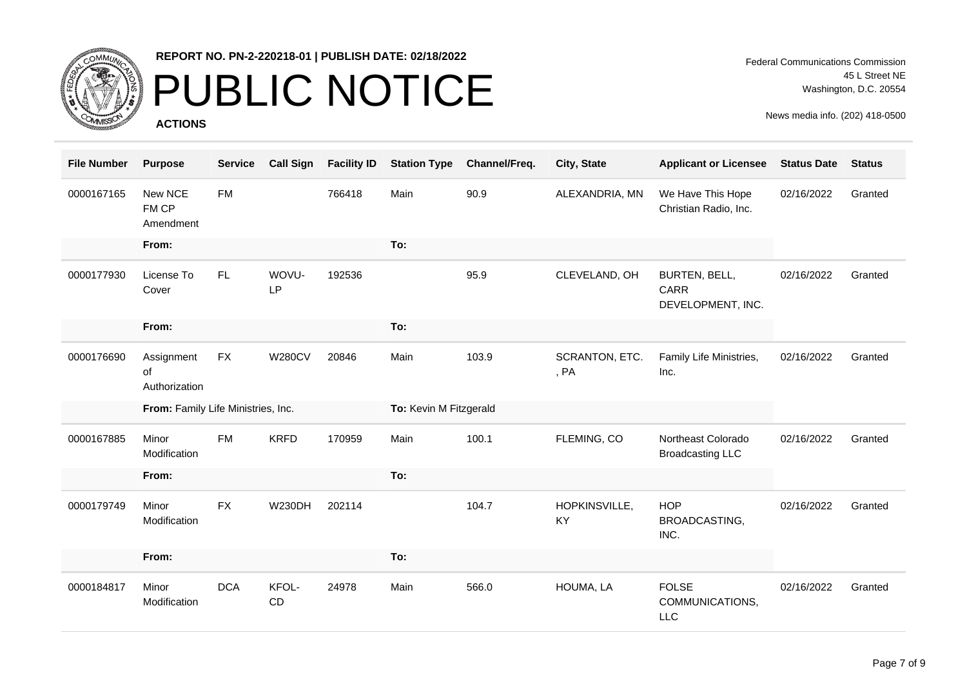

# PUBLIC NOTICE

**ACTIONS**

| <b>File Number</b> | <b>Purpose</b>                     | <b>Service</b> | <b>Call Sign</b>   | <b>Facility ID</b> | <b>Station Type</b>    | Channel/Freq. | City, State            | <b>Applicant or Licensee</b>                  | <b>Status Date</b> | <b>Status</b> |
|--------------------|------------------------------------|----------------|--------------------|--------------------|------------------------|---------------|------------------------|-----------------------------------------------|--------------------|---------------|
| 0000167165         | New NCE<br>FM CP<br>Amendment      | <b>FM</b>      |                    | 766418             | Main                   | 90.9          | ALEXANDRIA, MN         | We Have This Hope<br>Christian Radio, Inc.    | 02/16/2022         | Granted       |
|                    | From:                              |                |                    |                    | To:                    |               |                        |                                               |                    |               |
| 0000177930         | License To<br>Cover                | FL.            | WOVU-<br><b>LP</b> | 192536             |                        | 95.9          | CLEVELAND, OH          | BURTEN, BELL,<br>CARR<br>DEVELOPMENT, INC.    | 02/16/2022         | Granted       |
|                    | From:                              |                |                    |                    | To:                    |               |                        |                                               |                    |               |
| 0000176690         | Assignment<br>of<br>Authorization  | <b>FX</b>      | <b>W280CV</b>      | 20846              | Main                   | 103.9         | SCRANTON, ETC.<br>, PA | Family Life Ministries,<br>Inc.               | 02/16/2022         | Granted       |
|                    | From: Family Life Ministries, Inc. |                |                    |                    | To: Kevin M Fitzgerald |               |                        |                                               |                    |               |
| 0000167885         | Minor                              | <b>FM</b>      | <b>KRFD</b>        |                    |                        |               |                        |                                               |                    |               |
|                    | Modification                       |                |                    | 170959             | Main                   | 100.1         | FLEMING, CO            | Northeast Colorado<br><b>Broadcasting LLC</b> | 02/16/2022         | Granted       |
|                    | From:                              |                |                    |                    | To:                    |               |                        |                                               |                    |               |
| 0000179749         | Minor<br>Modification              | <b>FX</b>      | <b>W230DH</b>      | 202114             |                        | 104.7         | HOPKINSVILLE,<br>KY    | <b>HOP</b><br>BROADCASTING,<br>INC.           | 02/16/2022         | Granted       |
|                    | From:                              |                |                    |                    | To:                    |               |                        |                                               |                    |               |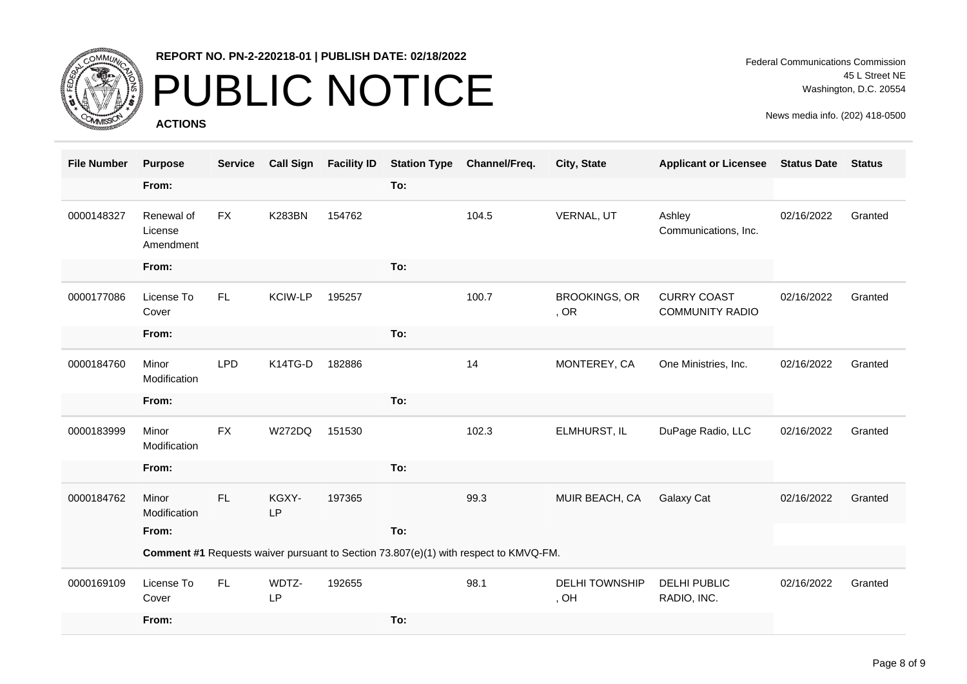

# PUBLIC NOTICE

**ACTIONS**

| <b>File Number</b> | <b>Purpose</b>                                                                       | <b>Service</b> | <b>Call Sign</b>   | <b>Facility ID</b> | <b>Station Type</b> | Channel/Freq. | City, State                   | <b>Applicant or Licensee</b>                 | <b>Status Date</b> | <b>Status</b> |
|--------------------|--------------------------------------------------------------------------------------|----------------|--------------------|--------------------|---------------------|---------------|-------------------------------|----------------------------------------------|--------------------|---------------|
|                    | From:                                                                                |                |                    |                    | To:                 |               |                               |                                              |                    |               |
| 0000148327         | Renewal of<br>License<br>Amendment                                                   | <b>FX</b>      | <b>K283BN</b>      | 154762             |                     | 104.5         | VERNAL, UT                    | Ashley<br>Communications, Inc.               | 02/16/2022         | Granted       |
|                    | From:                                                                                |                |                    |                    | To:                 |               |                               |                                              |                    |               |
| 0000177086         | License To<br>Cover                                                                  | FL.            | KCIW-LP            | 195257             |                     | 100.7         | <b>BROOKINGS, OR</b><br>, OR  | <b>CURRY COAST</b><br><b>COMMUNITY RADIO</b> | 02/16/2022         | Granted       |
|                    | From:                                                                                |                |                    |                    | To:                 |               |                               |                                              |                    |               |
| 0000184760         | Minor<br>Modification                                                                | <b>LPD</b>     | K14TG-D            | 182886             |                     | 14            | MONTEREY, CA                  | One Ministries, Inc.                         | 02/16/2022         | Granted       |
|                    | From:                                                                                |                |                    |                    | To:                 |               |                               |                                              |                    |               |
| 0000183999         | Minor<br>Modification                                                                | <b>FX</b>      | <b>W272DQ</b>      | 151530             |                     | 102.3         | ELMHURST, IL                  | DuPage Radio, LLC                            | 02/16/2022         | Granted       |
|                    | From:                                                                                |                |                    |                    | To:                 |               |                               |                                              |                    |               |
| 0000184762         | Minor<br>Modification                                                                | FL             | KGXY-<br><b>LP</b> | 197365             |                     | 99.3          | MUIR BEACH, CA                | Galaxy Cat                                   | 02/16/2022         | Granted       |
|                    | From:                                                                                |                |                    |                    | To:                 |               |                               |                                              |                    |               |
|                    | Comment #1 Requests waiver pursuant to Section 73.807(e)(1) with respect to KMVQ-FM. |                |                    |                    |                     |               |                               |                                              |                    |               |
| 0000169109         | License To<br>Cover                                                                  | FL.            | WDTZ-<br>LP        | 192655             |                     | 98.1          | <b>DELHI TOWNSHIP</b><br>, OH | DELHI PUBLIC<br>RADIO, INC.                  | 02/16/2022         | Granted       |
|                    | From:                                                                                |                |                    |                    | To:                 |               |                               |                                              |                    |               |